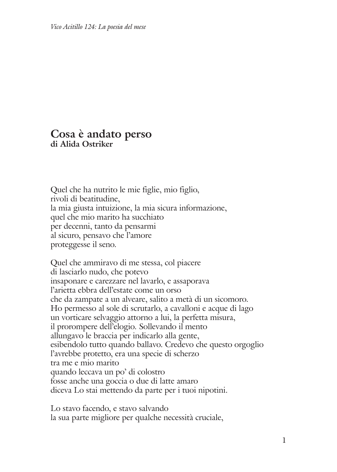## **Cosa è andato perso di Alida Ostriker**

Quel che ha nutrito le mie figlie, mio figlio, rivoli di beatitudine, la mia giusta intuizione, la mia sicura informazione, quel che mio marito ha succhiato per decenni, tanto da pensarmi al sicuro, pensavo che l'amore proteggesse il seno.

Quel che ammiravo di me stessa, col piacere di lasciarlo nudo, che potevo insaponare e carezzare nel lavarlo, e assaporava l'arietta ebbra dell'estate come un orso che da zampate a un alveare, salito a metà di un sicomoro. Ho permesso al sole di scrutarlo, a cavalloni e acque di lago un vorticare selvaggio attorno a lui, la perfetta misura, il prorompere dell'elogio. Sollevando il mento allungavo le braccia per indicarlo alla gente, esibendolo tutto quando ballavo. Credevo che questo orgoglio l'avrebbe protetto, era una specie di scherzo tra me e mio marito quando leccava un po' di colostro fosse anche una goccia o due di latte amaro diceva Lo stai mettendo da parte per i tuoi nipotini.

Lo stavo facendo, e stavo salvando la sua parte migliore per qualche necessità cruciale,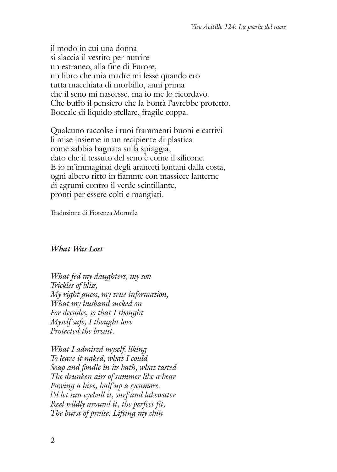il modo in cui una donna si slaccia il vestito per nutrire un estraneo, alla fine di Furore, un libro che mia madre mi lesse quando ero tutta macchiata di morbillo, anni prima che il seno mi nascesse, ma io me lo ricordavo. Che buffo il pensiero che la bontà l'avrebbe protetto. Boccale di liquido stellare, fragile coppa.

Qualcuno raccolse i tuoi frammenti buoni e cattivi li mise insieme in un recipiente di plastica come sabbia bagnata sulla spiaggia, dato che il tessuto del seno è come il silicone. E io m'immaginai degli aranceti lontani dalla costa, ogni albero ritto in fiamme con massicce lanterne di agrumi contro il verde scintillante, pronti per essere colti e mangiati.

Traduzione di Fiorenza Mormile

## *What Was Lost*

*What fed my daughters, my son Trickles of bliss, My right guess, my true information, What my husband sucked on For decades, so that I thought Myself safe, I thought love Protected the breast.*

*What I admired myself, liking To leave it naked, what I could Soap and fondle in its bath, what tasted The drunken airs of summer like a bear Pawing a hive, half up a sycamore. l'd let sun eyeball it, surf and lakewater Reel wildly around it, the perfect fit, The burst of praise. Lifting my chin*